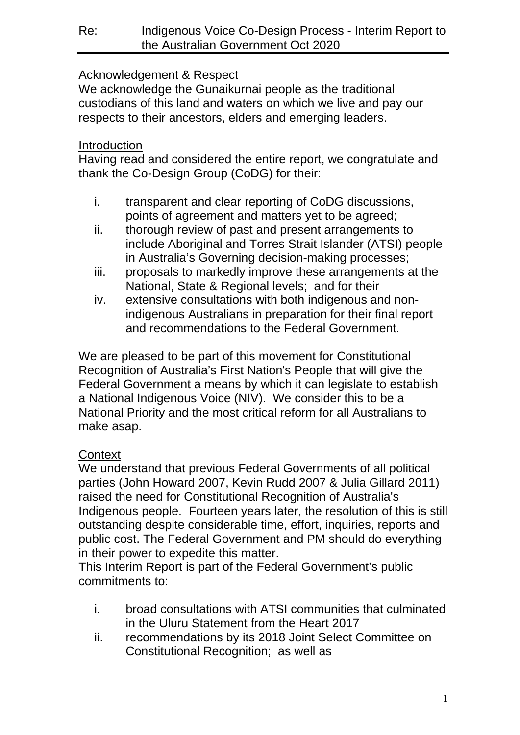# Acknowledgement & Respect

We acknowledge the Gunaikurnai people as the traditional custodians of this land and waters on which we live and pay our respects to their ancestors, elders and emerging leaders.

### **Introduction**

Having read and considered the entire report, we congratulate and thank the Co-Design Group (CoDG) for their:

- i. transparent and clear reporting of CoDG discussions, points of agreement and matters yet to be agreed;
- ii. thorough review of past and present arrangements to include Aboriginal and Torres Strait Islander (ATSI) people in Australia's Governing decision-making processes;
- iii. proposals to markedly improve these arrangements at the National, State & Regional levels; and for their
- iv. extensive consultations with both indigenous and nonindigenous Australians in preparation for their final report and recommendations to the Federal Government.

We are pleased to be part of this movement for Constitutional Recognition of Australia's First Nation's People that will give the Federal Government a means by which it can legislate to establish a National Indigenous Voice (NIV). We consider this to be a National Priority and the most critical reform for all Australians to make asap.

# **Context**

We understand that previous Federal Governments of all political parties (John Howard 2007, Kevin Rudd 2007 & Julia Gillard 2011) raised the need for Constitutional Recognition of Australia's Indigenous people. Fourteen years later, the resolution of this is still outstanding despite considerable time, effort, inquiries, reports and public cost. The Federal Government and PM should do everything in their power to expedite this matter.

This Interim Report is part of the Federal Government's public commitments to:

- i. broad consultations with ATSI communities that culminated in the Uluru Statement from the Heart 2017
- ii. recommendations by its 2018 Joint Select Committee on Constitutional Recognition; as well as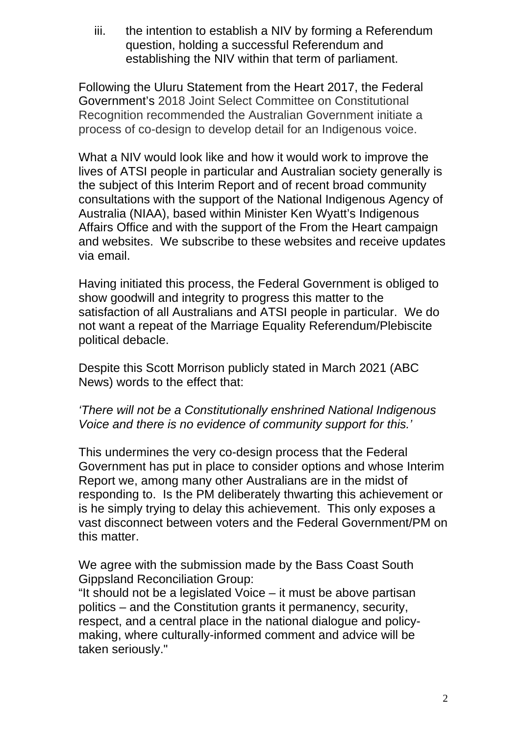iii. the intention to establish a NIV by forming a Referendum question, holding a successful Referendum and establishing the NIV within that term of parliament.

Following the Uluru Statement from the Heart 2017, the Federal Government's 2018 Joint Select Committee on Constitutional Recognition recommended the Australian Government initiate a process of co-design to develop detail for an Indigenous voice.

What a NIV would look like and how it would work to improve the lives of ATSI people in particular and Australian society generally is the subject of this Interim Report and of recent broad community consultations with the support of the National Indigenous Agency of Australia (NIAA), based within Minister Ken Wyatt's Indigenous Affairs Office and with the support of the From the Heart campaign and websites. We subscribe to these websites and receive updates via email.

Having initiated this process, the Federal Government is obliged to show goodwill and integrity to progress this matter to the satisfaction of all Australians and ATSI people in particular. We do not want a repeat of the Marriage Equality Referendum/Plebiscite political debacle.

Despite this Scott Morrison publicly stated in March 2021 (ABC News) words to the effect that:

#### *'There will not be a Constitutionally enshrined National Indigenous Voice and there is no evidence of community support for this.'*

This undermines the very co-design process that the Federal Government has put in place to consider options and whose Interim Report we, among many other Australians are in the midst of responding to. Is the PM deliberately thwarting this achievement or is he simply trying to delay this achievement. This only exposes a vast disconnect between voters and the Federal Government/PM on this matter.

We agree with the submission made by the Bass Coast South Gippsland Reconciliation Group:

"It should not be a legislated Voice – it must be above partisan politics – and the Constitution grants it permanency, security, respect, and a central place in the national dialogue and policymaking, where culturally-informed comment and advice will be taken seriously."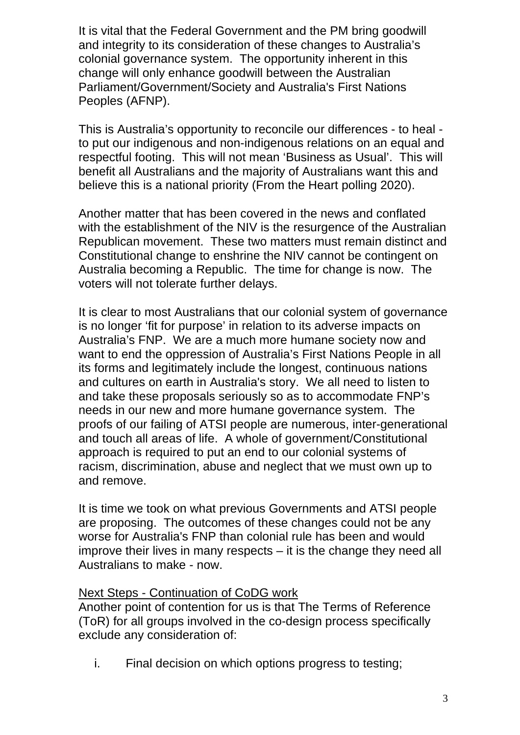It is vital that the Federal Government and the PM bring goodwill and integrity to its consideration of these changes to Australia's colonial governance system. The opportunity inherent in this change will only enhance goodwill between the Australian Parliament/Government/Society and Australia's First Nations Peoples (AFNP).

This is Australia's opportunity to reconcile our differences - to heal to put our indigenous and non-indigenous relations on an equal and respectful footing. This will not mean 'Business as Usual'. This will benefit all Australians and the majority of Australians want this and believe this is a national priority (From the Heart polling 2020).

Another matter that has been covered in the news and conflated with the establishment of the NIV is the resurgence of the Australian Republican movement. These two matters must remain distinct and Constitutional change to enshrine the NIV cannot be contingent on Australia becoming a Republic. The time for change is now. The voters will not tolerate further delays.

It is clear to most Australians that our colonial system of governance is no longer 'fit for purpose' in relation to its adverse impacts on Australia's FNP. We are a much more humane society now and want to end the oppression of Australia's First Nations People in all its forms and legitimately include the longest, continuous nations and cultures on earth in Australia's story. We all need to listen to and take these proposals seriously so as to accommodate FNP's needs in our new and more humane governance system. The proofs of our failing of ATSI people are numerous, inter-generational and touch all areas of life. A whole of government/Constitutional approach is required to put an end to our colonial systems of racism, discrimination, abuse and neglect that we must own up to and remove.

It is time we took on what previous Governments and ATSI people are proposing. The outcomes of these changes could not be any worse for Australia's FNP than colonial rule has been and would improve their lives in many respects – it is the change they need all Australians to make - now.

#### Next Steps - Continuation of CoDG work

Another point of contention for us is that The Terms of Reference (ToR) for all groups involved in the co-design process specifically exclude any consideration of:

i. Final decision on which options progress to testing;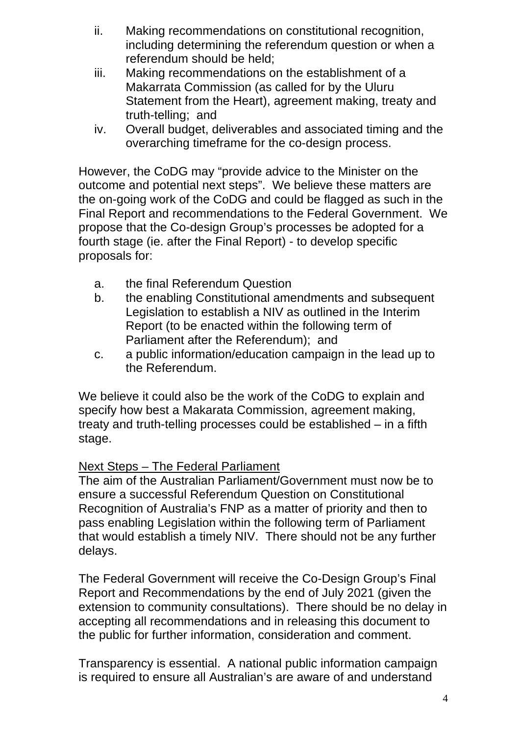- ii. Making recommendations on constitutional recognition, including determining the referendum question or when a referendum should be held;
- iii. Making recommendations on the establishment of a Makarrata Commission (as called for by the Uluru Statement from the Heart), agreement making, treaty and truth-telling; and
- iv. Overall budget, deliverables and associated timing and the overarching timeframe for the co-design process.

However, the CoDG may "provide advice to the Minister on the outcome and potential next steps". We believe these matters are the on-going work of the CoDG and could be flagged as such in the Final Report and recommendations to the Federal Government. We propose that the Co-design Group's processes be adopted for a fourth stage (ie. after the Final Report) - to develop specific proposals for:

- a. the final Referendum Question
- b. the enabling Constitutional amendments and subsequent Legislation to establish a NIV as outlined in the Interim Report (to be enacted within the following term of Parliament after the Referendum); and
- c. a public information/education campaign in the lead up to the Referendum.

We believe it could also be the work of the CoDG to explain and specify how best a Makarata Commission, agreement making, treaty and truth-telling processes could be established – in a fifth stage.

## Next Steps – The Federal Parliament

The aim of the Australian Parliament/Government must now be to ensure a successful Referendum Question on Constitutional Recognition of Australia's FNP as a matter of priority and then to pass enabling Legislation within the following term of Parliament that would establish a timely NIV. There should not be any further delays.

The Federal Government will receive the Co-Design Group's Final Report and Recommendations by the end of July 2021 (given the extension to community consultations). There should be no delay in accepting all recommendations and in releasing this document to the public for further information, consideration and comment.

Transparency is essential. A national public information campaign is required to ensure all Australian's are aware of and understand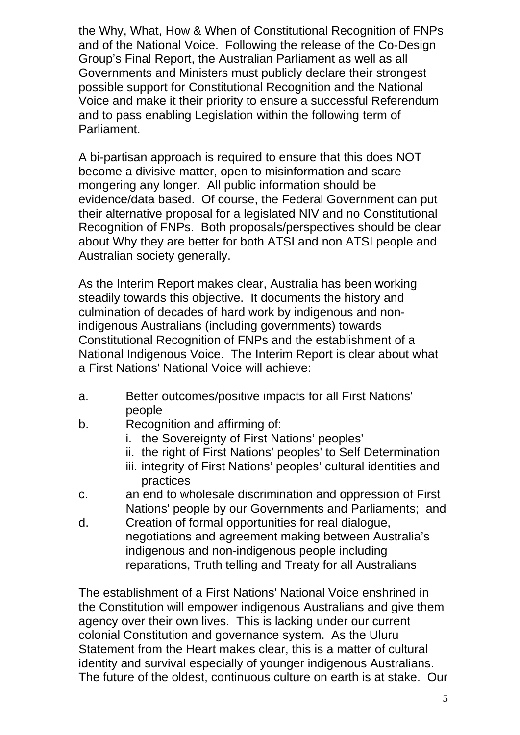the Why, What, How & When of Constitutional Recognition of FNPs and of the National Voice. Following the release of the Co-Design Group's Final Report, the Australian Parliament as well as all Governments and Ministers must publicly declare their strongest possible support for Constitutional Recognition and the National Voice and make it their priority to ensure a successful Referendum and to pass enabling Legislation within the following term of Parliament.

A bi-partisan approach is required to ensure that this does NOT become a divisive matter, open to misinformation and scare mongering any longer. All public information should be evidence/data based. Of course, the Federal Government can put their alternative proposal for a legislated NIV and no Constitutional Recognition of FNPs. Both proposals/perspectives should be clear about Why they are better for both ATSI and non ATSI people and Australian society generally.

As the Interim Report makes clear, Australia has been working steadily towards this objective. It documents the history and culmination of decades of hard work by indigenous and nonindigenous Australians (including governments) towards Constitutional Recognition of FNPs and the establishment of a National Indigenous Voice. The Interim Report is clear about what a First Nations' National Voice will achieve:

- a. Better outcomes/positive impacts for all First Nations' people
- b. Recognition and affirming of:
	- i. the Sovereignty of First Nations' peoples'
	- ii. the right of First Nations' peoples' to Self Determination
	- iii. integrity of First Nations' peoples' cultural identities and practices
- c. an end to wholesale discrimination and oppression of First Nations' people by our Governments and Parliaments; and
- d. Creation of formal opportunities for real dialogue, negotiations and agreement making between Australia's indigenous and non-indigenous people including reparations, Truth telling and Treaty for all Australians

The establishment of a First Nations' National Voice enshrined in the Constitution will empower indigenous Australians and give them agency over their own lives. This is lacking under our current colonial Constitution and governance system. As the Uluru Statement from the Heart makes clear, this is a matter of cultural identity and survival especially of younger indigenous Australians. The future of the oldest, continuous culture on earth is at stake. Our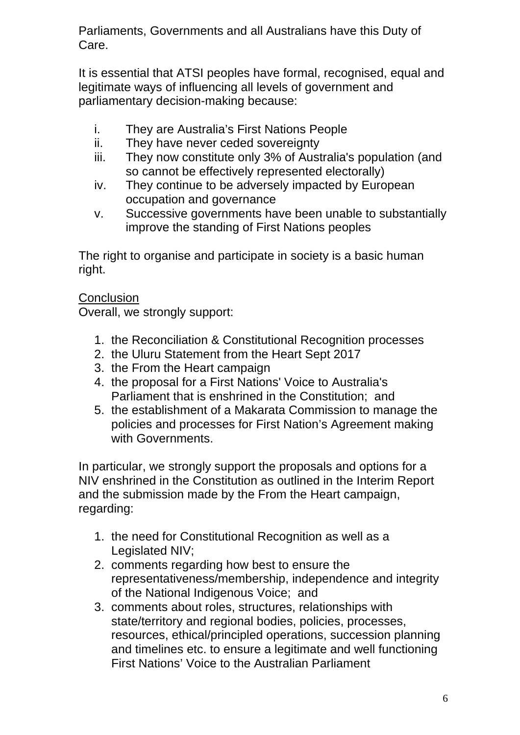Parliaments, Governments and all Australians have this Duty of Care.

It is essential that ATSI peoples have formal, recognised, equal and legitimate ways of influencing all levels of government and parliamentary decision-making because:

- i. They are Australia's First Nations People
- ii. They have never ceded sovereignty
- iii. They now constitute only 3% of Australia's population (and so cannot be effectively represented electorally)
- iv. They continue to be adversely impacted by European occupation and governance
- v. Successive governments have been unable to substantially improve the standing of First Nations peoples

The right to organise and participate in society is a basic human right.

#### **Conclusion**

Overall, we strongly support:

- 1. the Reconciliation & Constitutional Recognition processes
- 2. the Uluru Statement from the Heart Sept 2017
- 3. the From the Heart campaign
- 4. the proposal for a First Nations' Voice to Australia's Parliament that is enshrined in the Constitution; and
- 5. the establishment of a Makarata Commission to manage the policies and processes for First Nation's Agreement making with Governments.

In particular, we strongly support the proposals and options for a NIV enshrined in the Constitution as outlined in the Interim Report and the submission made by the From the Heart campaign, regarding:

- 1. the need for Constitutional Recognition as well as a Legislated NIV;
- 2. comments regarding how best to ensure the representativeness/membership, independence and integrity of the National Indigenous Voice; and
- 3. comments about roles, structures, relationships with state/territory and regional bodies, policies, processes, resources, ethical/principled operations, succession planning and timelines etc. to ensure a legitimate and well functioning First Nations' Voice to the Australian Parliament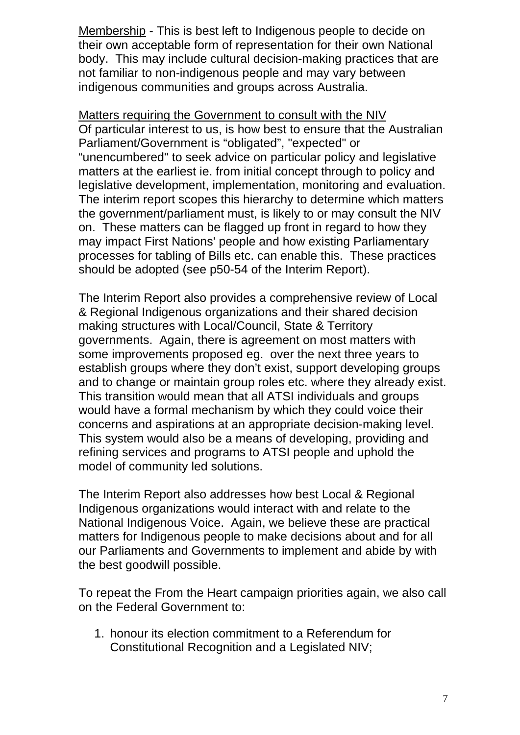Membership - This is best left to Indigenous people to decide on their own acceptable form of representation for their own National body. This may include cultural decision-making practices that are not familiar to non-indigenous people and may vary between indigenous communities and groups across Australia.

Matters requiring the Government to consult with the NIV Of particular interest to us, is how best to ensure that the Australian Parliament/Government is "obligated", "expected" or "unencumbered" to seek advice on particular policy and legislative matters at the earliest ie. from initial concept through to policy and legislative development, implementation, monitoring and evaluation. The interim report scopes this hierarchy to determine which matters the government/parliament must, is likely to or may consult the NIV on. These matters can be flagged up front in regard to how they may impact First Nations' people and how existing Parliamentary processes for tabling of Bills etc. can enable this. These practices should be adopted (see p50-54 of the Interim Report).

The Interim Report also provides a comprehensive review of Local & Regional Indigenous organizations and their shared decision making structures with Local/Council, State & Territory governments. Again, there is agreement on most matters with some improvements proposed eg. over the next three years to establish groups where they don't exist, support developing groups and to change or maintain group roles etc. where they already exist. This transition would mean that all ATSI individuals and groups would have a formal mechanism by which they could voice their concerns and aspirations at an appropriate decision-making level. This system would also be a means of developing, providing and refining services and programs to ATSI people and uphold the model of community led solutions.

The Interim Report also addresses how best Local & Regional Indigenous organizations would interact with and relate to the National Indigenous Voice. Again, we believe these are practical matters for Indigenous people to make decisions about and for all our Parliaments and Governments to implement and abide by with the best goodwill possible.

To repeat the From the Heart campaign priorities again, we also call on the Federal Government to:

1. honour its election commitment to a Referendum for Constitutional Recognition and a Legislated NIV;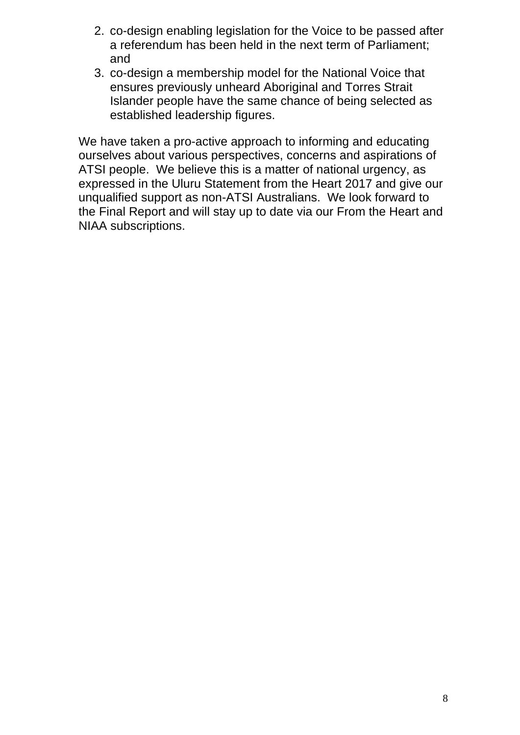- 2. co-design enabling legislation for the Voice to be passed after a referendum has been held in the next term of Parliament; and
- 3. co-design a membership model for the National Voice that ensures previously unheard Aboriginal and Torres Strait Islander people have the same chance of being selected as established leadership figures.

We have taken a pro-active approach to informing and educating ourselves about various perspectives, concerns and aspirations of ATSI people. We believe this is a matter of national urgency, as expressed in the Uluru Statement from the Heart 2017 and give our unqualified support as non-ATSI Australians. We look forward to the Final Report and will stay up to date via our From the Heart and NIAA subscriptions.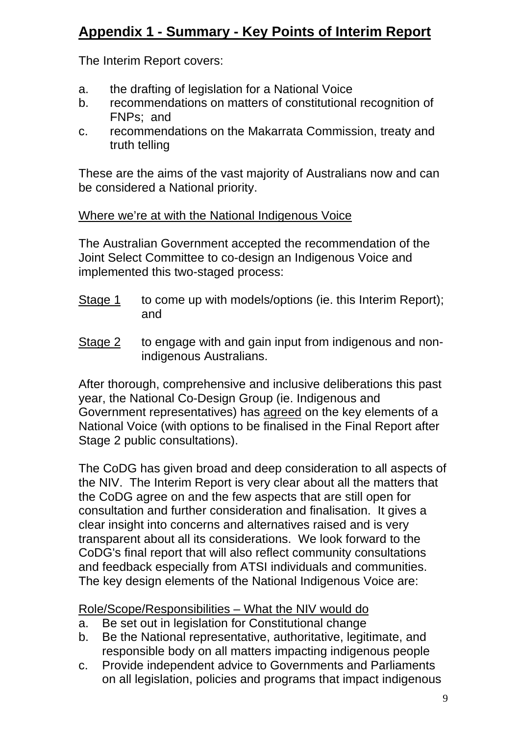# **Appendix 1 - Summary - Key Points of Interim Report**

The Interim Report covers:

- a. the drafting of legislation for a National Voice
- b. recommendations on matters of constitutional recognition of FNPs; and
- c. recommendations on the Makarrata Commission, treaty and truth telling

These are the aims of the vast majority of Australians now and can be considered a National priority.

#### Where we're at with the National Indigenous Voice

The Australian Government accepted the recommendation of the Joint Select Committee to co-design an Indigenous Voice and implemented this two-staged process:

- Stage 1 to come up with models/options (ie. this Interim Report); and
- Stage 2 to engage with and gain input from indigenous and nonindigenous Australians.

After thorough, comprehensive and inclusive deliberations this past year, the National Co-Design Group (ie. Indigenous and Government representatives) has agreed on the key elements of a National Voice (with options to be finalised in the Final Report after Stage 2 public consultations).

The CoDG has given broad and deep consideration to all aspects of the NIV. The Interim Report is very clear about all the matters that the CoDG agree on and the few aspects that are still open for consultation and further consideration and finalisation. It gives a clear insight into concerns and alternatives raised and is very transparent about all its considerations. We look forward to the CoDG's final report that will also reflect community consultations and feedback especially from ATSI individuals and communities. The key design elements of the National Indigenous Voice are:

## Role/Scope/Responsibilities – What the NIV would do

- a. Be set out in legislation for Constitutional change
- b. Be the National representative, authoritative, legitimate, and responsible body on all matters impacting indigenous people
- c. Provide independent advice to Governments and Parliaments on all legislation, policies and programs that impact indigenous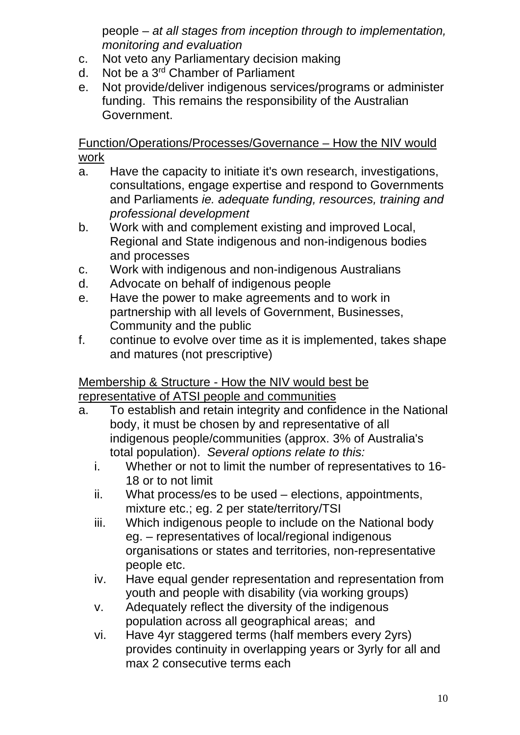people – *at all stages from inception through to implementation, monitoring and evaluation*

- c. Not veto any Parliamentary decision making
- d. Not be a 3rd Chamber of Parliament
- e. Not provide/deliver indigenous services/programs or administer funding. This remains the responsibility of the Australian Government.

Function/Operations/Processes/Governance – How the NIV would work

- a. Have the capacity to initiate it's own research, investigations, consultations, engage expertise and respond to Governments and Parliaments *ie. adequate funding, resources, training and professional development*
- b. Work with and complement existing and improved Local, Regional and State indigenous and non-indigenous bodies and processes
- c. Work with indigenous and non-indigenous Australians
- d. Advocate on behalf of indigenous people
- e. Have the power to make agreements and to work in partnership with all levels of Government, Businesses, Community and the public
- f. continue to evolve over time as it is implemented, takes shape and matures (not prescriptive)

#### Membership & Structure - How the NIV would best be representative of ATSI people and communities

- a. To establish and retain integrity and confidence in the National body, it must be chosen by and representative of all indigenous people/communities (approx. 3% of Australia's total population). *Several options relate to this:*
	- i. Whether or not to limit the number of representatives to 16- 18 or to not limit
	- ii. What process/es to be used elections, appointments, mixture etc.; eg. 2 per state/territory/TSI
	- iii. Which indigenous people to include on the National body eg. – representatives of local/regional indigenous organisations or states and territories, non-representative people etc.
	- iv. Have equal gender representation and representation from youth and people with disability (via working groups)
	- v. Adequately reflect the diversity of the indigenous population across all geographical areas; and
	- vi. Have 4yr staggered terms (half members every 2yrs) provides continuity in overlapping years or 3yrly for all and max 2 consecutive terms each